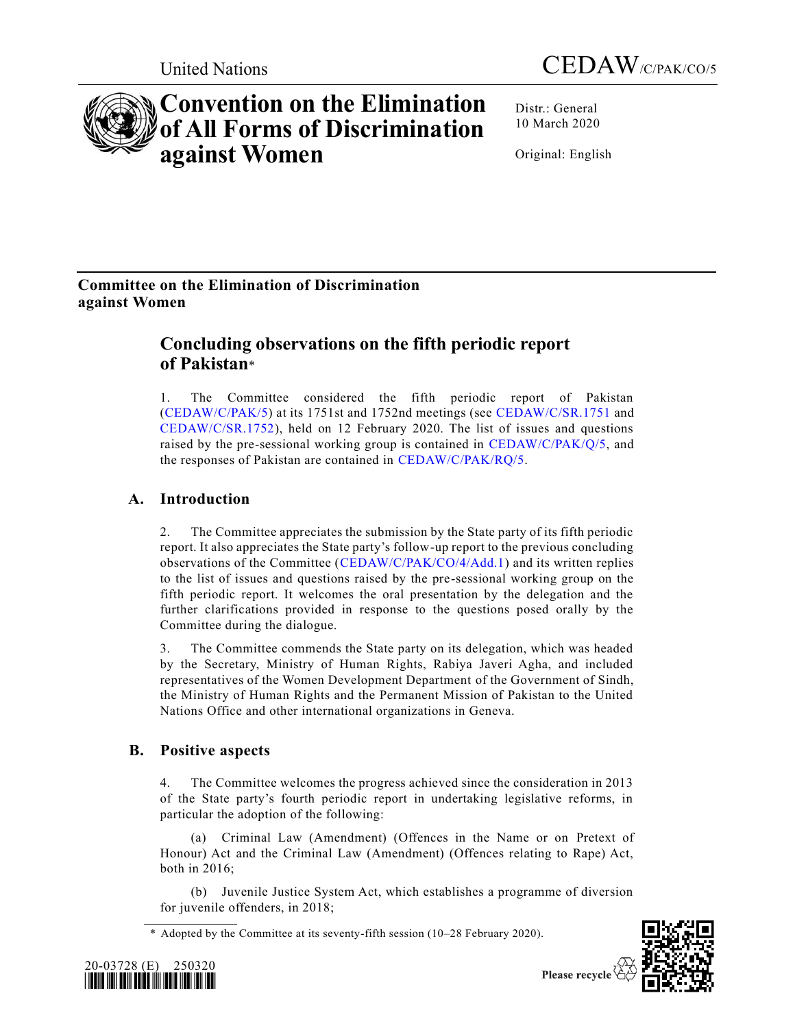



Distr.: General 10 March 2020

Original: English

# **Committee on the Elimination of Discrimination against Women**

# **Concluding observations on the fifth periodic report of Pakistan**\*

1. The Committee considered the fifth periodic report of Pakistan [\(CEDAW/C/PAK/5\)](https://undocs.org/en/CEDAW/C/PAK/5) at its 1751st and 1752nd meetings (see [CEDAW/C/SR.1751](https://undocs.org/en/CEDAW/C/SR.1751) and [CEDAW/C/SR.1752\)](https://undocs.org/en/CEDAW/C/SR.1752), held on 12 February 2020. The list of issues and questions raised by the pre-sessional working group is contained in [CEDAW/C/PAK/Q/5,](https://undocs.org/en/CEDAW/C/PAK/Q/5) and the responses of Pakistan are contained in [CEDAW/C/PAK/RQ/5.](https://undocs.org/en/CEDAW/C/PAK/RQ/5)

# **A. Introduction**

2. The Committee appreciates the submission by the State party of its fifth periodic report. It also appreciates the State party's follow-up report to the previous concluding observations of the Committee [\(CEDAW/C/PAK/CO/4/Add.1\)](https://undocs.org/en/CEDAW/C/PAK/CO/4/Add.1) and its written replies to the list of issues and questions raised by the pre-sessional working group on the fifth periodic report. It welcomes the oral presentation by the delegation and the further clarifications provided in response to the questions posed orally by the Committee during the dialogue.

3. The Committee commends the State party on its delegation, which was headed by the Secretary, Ministry of Human Rights, Rabiya Javeri Agha, and included representatives of the Women Development Department of the Government of Sindh, the Ministry of Human Rights and the Permanent Mission of Pakistan to the United Nations Office and other international organizations in Geneva.

# **B. Positive aspects**

4. The Committee welcomes the progress achieved since the consideration in 2013 of the State party's fourth periodic report in undertaking legislative reforms, in particular the adoption of the following:

(a) Criminal Law (Amendment) (Offences in the Name or on Pretext of Honour) Act and the Criminal Law (Amendment) (Offences relating to Rape) Act, both in 2016;

(b) Juvenile Justice System Act, which establishes a programme of diversion for juvenile offenders, in 2018;

\* Adopted by the Committee at its seventy-fifth session (10–28 February 2020).



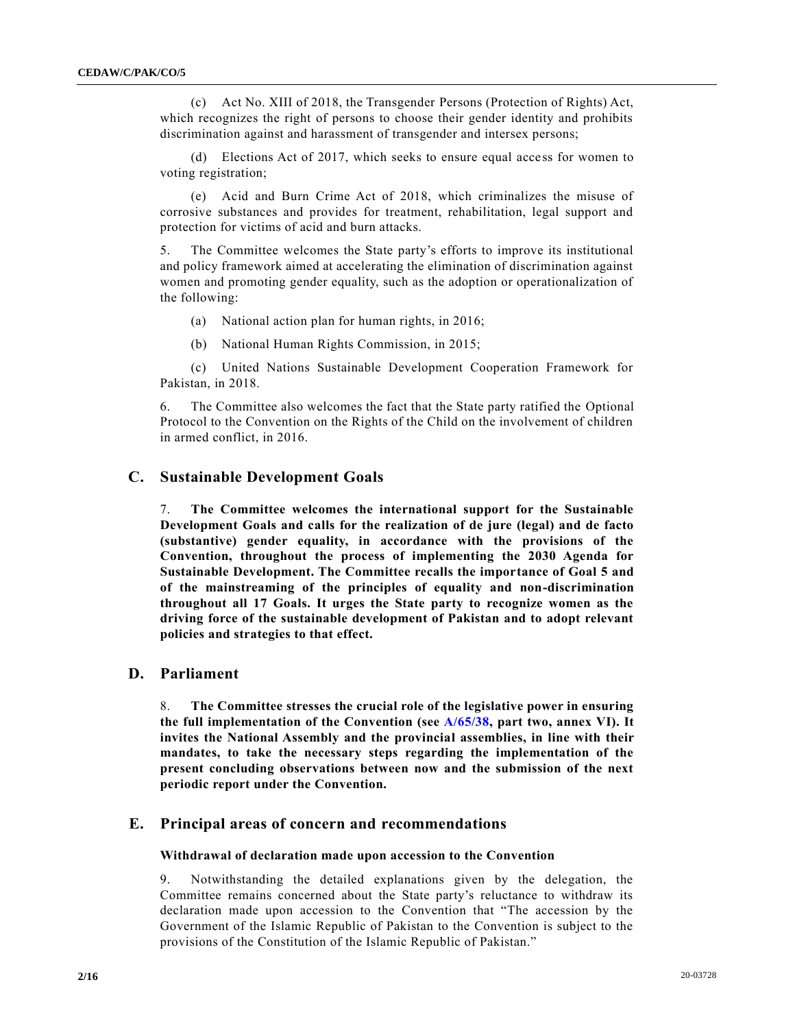(c) Act No. XIII of 2018, the Transgender Persons (Protection of Rights) Act, which recognizes the right of persons to choose their gender identity and prohibits discrimination against and harassment of transgender and intersex persons;

(d) Elections Act of 2017, which seeks to ensure equal access for women to voting registration;

(e) Acid and Burn Crime Act of 2018, which criminalizes the misuse of corrosive substances and provides for treatment, rehabilitation, legal support and protection for victims of acid and burn attacks.

5. The Committee welcomes the State party's efforts to improve its institutional and policy framework aimed at accelerating the elimination of discrimination against women and promoting gender equality, such as the adoption or operationalization of the following:

(a) National action plan for human rights, in 2016;

(b) National Human Rights Commission, in 2015;

(c) United Nations Sustainable Development Cooperation Framework for Pakistan, in 2018.

6. The Committee also welcomes the fact that the State party ratified the Optional Protocol to the Convention on the Rights of the Child on the involvement of children in armed conflict, in 2016.

## **C. Sustainable Development Goals**

7. **The Committee welcomes the international support for the Sustainable Development Goals and calls for the realization of de jure (legal) and de facto (substantive) gender equality, in accordance with the provisions of the Convention, throughout the process of implementing the 2030 Agenda for Sustainable Development. The Committee recalls the importance of Goal 5 and of the mainstreaming of the principles of equality and non-discrimination throughout all 17 Goals. It urges the State party to recognize women as the driving force of the sustainable development of Pakistan and to adopt relevant policies and strategies to that effect.**

## **D. Parliament**

8. **The Committee stresses the crucial role of the legislative power in ensuring the full implementation of the Convention (see [A/65/38,](https://undocs.org/en/A/65/38(SUPP)) part two, annex VI). It invites the National Assembly and the provincial assemblies, in line with their mandates, to take the necessary steps regarding the implementation of the present concluding observations between now and the submission of the next periodic report under the Convention.**

## **E. Principal areas of concern and recommendations**

#### **Withdrawal of declaration made upon accession to the Convention**

9. Notwithstanding the detailed explanations given by the delegation, the Committee remains concerned about the State party's reluctance to withdraw its declaration made upon accession to the Convention that "The accession by the Government of the Islamic Republic of Pakistan to the Convention is subject to the provisions of the Constitution of the Islamic Republic of Pakistan."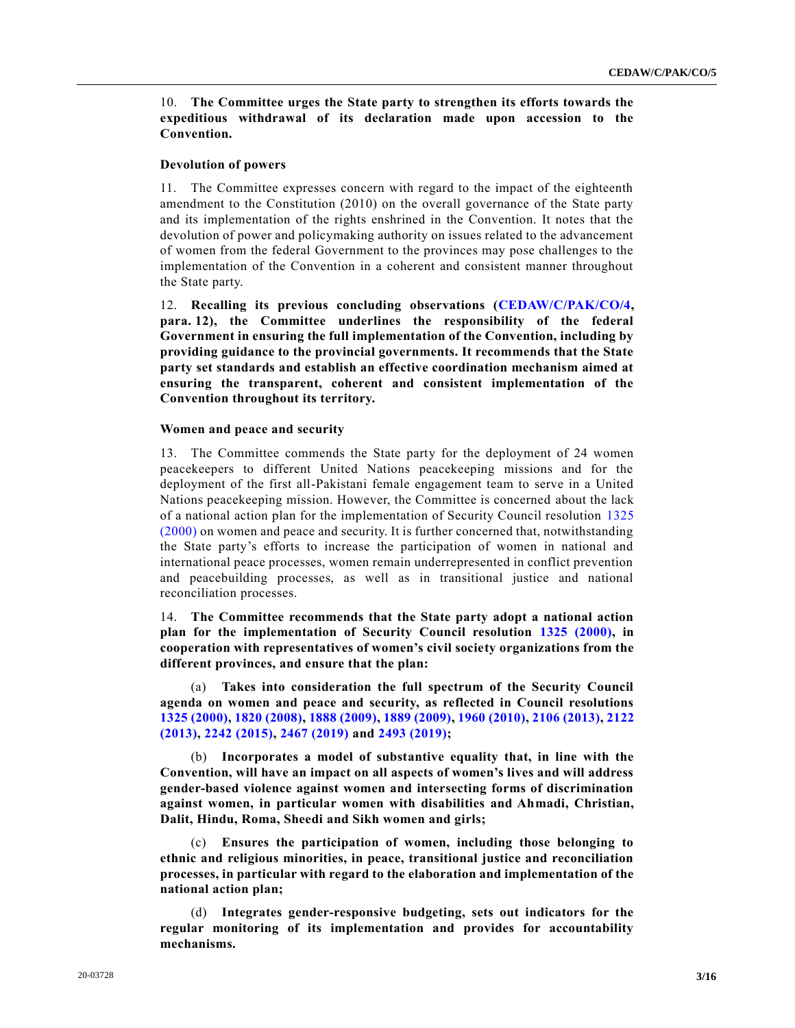10. **The Committee urges the State party to strengthen its efforts towards the expeditious withdrawal of its declaration made upon accession to the Convention.**

#### **Devolution of powers**

11. The Committee expresses concern with regard to the impact of the eighteenth amendment to the Constitution (2010) on the overall governance of the State party and its implementation of the rights enshrined in the Convention. It notes that the devolution of power and policymaking authority on issues related to the advancement of women from the federal Government to the provinces may pose challenges to the implementation of the Convention in a coherent and consistent manner throughout the State party.

12. **Recalling its previous concluding observations [\(CEDAW/C/PAK/CO/4,](https://undocs.org/en/CEDAW/C/PAK/CO/4) para. 12), the Committee underlines the responsibility of the federal Government in ensuring the full implementation of the Convention, including by providing guidance to the provincial governments. It recommends that the State party set standards and establish an effective coordination mechanism aimed at ensuring the transparent, coherent and consistent implementation of the Convention throughout its territory.**

#### **Women and peace and security**

13. The Committee commends the State party for the deployment of 24 women peacekeepers to different United Nations peacekeeping missions and for the deployment of the first all-Pakistani female engagement team to serve in a United Nations peacekeeping mission. However, the Committee is concerned about the lack of a national action plan for the implementation of Security Council resolution [1325](https://undocs.org/en/S/RES/1325(2000))  [\(2000\)](https://undocs.org/en/S/RES/1325(2000)) on women and peace and security. It is further concerned that, notwithstanding the State party's efforts to increase the participation of women in national and international peace processes, women remain underrepresented in conflict prevention and peacebuilding processes, as well as in transitional justice and national reconciliation processes.

14. **The Committee recommends that the State party adopt a national action plan for the implementation of Security Council resolution [1325 \(2000\),](https://undocs.org/en/S/RES/1325(2000)) in cooperation with representatives of women's civil society organizations from the different provinces, and ensure that the plan:**

(a) **Takes into consideration the full spectrum of the Security Council agenda on women and peace and security, as reflected in Council resolutions [1325 \(2000\),](https://undocs.org/en/S/RES/1325(2000)) [1820 \(2008\),](https://undocs.org/en/S/RES/1820(2008)) [1888 \(2009\),](https://undocs.org/en/S/RES/1888(2009)) [1889 \(2009\),](https://undocs.org/en/S/RES/1889(2009)) [1960 \(2010\),](https://undocs.org/en/S/RES/1960(2010)) [2106 \(2013\),](https://undocs.org/en/S/RES/2106(2013)) [2122](https://undocs.org/en/S/RES/2122(2013))  [\(2013\),](https://undocs.org/en/S/RES/2122(2013)) [2242 \(2015\),](https://undocs.org/en/S/RES/2242(2015)) [2467 \(2019\)](https://undocs.org/en/S/RES/2467(2019)) and [2493 \(2019\);](https://undocs.org/en/S/RES/2493(2019))**

(b) **Incorporates a model of substantive equality that, in line with the Convention, will have an impact on all aspects of women's lives and will address gender-based violence against women and intersecting forms of discrimination against women, in particular women with disabilities and Ahmadi, Christian, Dalit, Hindu, Roma, Sheedi and Sikh women and girls;**

(c) **Ensures the participation of women, including those belonging to ethnic and religious minorities, in peace, transitional justice and reconciliation processes, in particular with regard to the elaboration and implementation of the national action plan;**

(d) **Integrates gender-responsive budgeting, sets out indicators for the regular monitoring of its implementation and provides for accountability mechanisms.**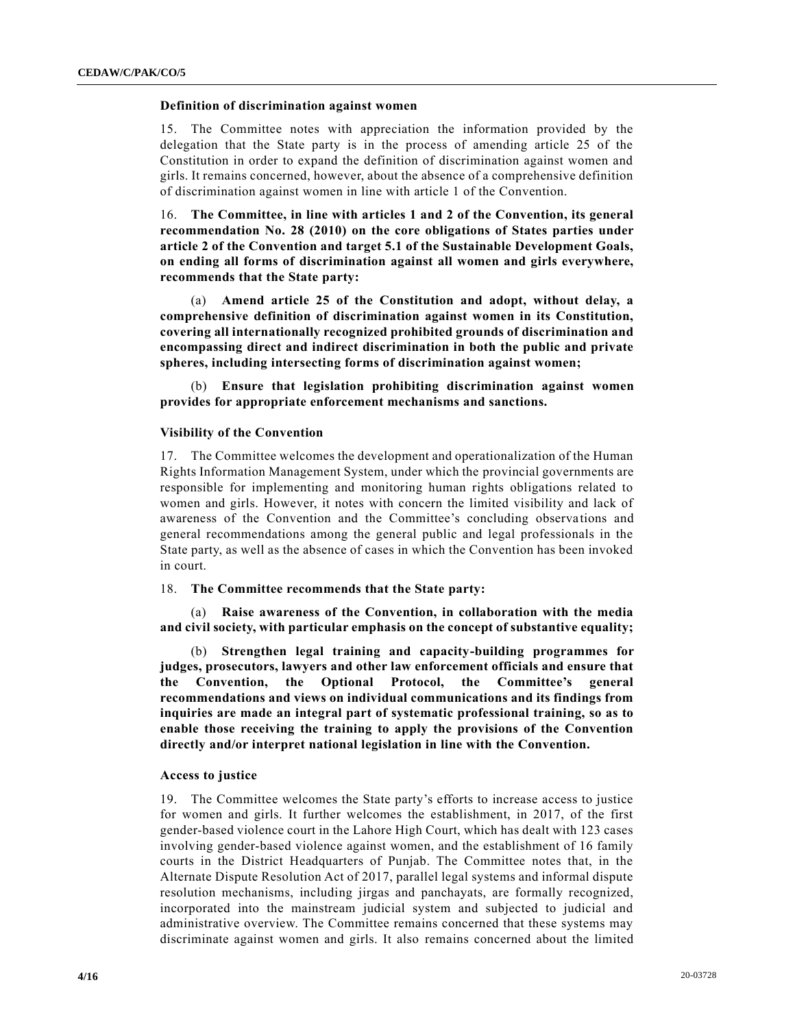#### **Definition of discrimination against women**

15. The Committee notes with appreciation the information provided by the delegation that the State party is in the process of amending article 25 of the Constitution in order to expand the definition of discrimination against women and girls. It remains concerned, however, about the absence of a comprehensive definition of discrimination against women in line with article 1 of the Convention.

16. **The Committee, in line with articles 1 and 2 of the Convention, its general recommendation No. 28 (2010) on the core obligations of States parties under article 2 of the Convention and target 5.1 of the Sustainable Development Goals, on ending all forms of discrimination against all women and girls everywhere, recommends that the State party:**

(a) **Amend article 25 of the Constitution and adopt, without delay, a comprehensive definition of discrimination against women in its Constitution, covering all internationally recognized prohibited grounds of discrimination and encompassing direct and indirect discrimination in both the public and private spheres, including intersecting forms of discrimination against women;**

(b) **Ensure that legislation prohibiting discrimination against women provides for appropriate enforcement mechanisms and sanctions.**

#### **Visibility of the Convention**

17. The Committee welcomes the development and operationalization of the Human Rights Information Management System, under which the provincial governments are responsible for implementing and monitoring human rights obligations related to women and girls. However, it notes with concern the limited visibility and lack of awareness of the Convention and the Committee's concluding observations and general recommendations among the general public and legal professionals in the State party, as well as the absence of cases in which the Convention has been invoked in court.

#### 18. **The Committee recommends that the State party:**

(a) **Raise awareness of the Convention, in collaboration with the media and civil society, with particular emphasis on the concept of substantive equality;** 

(b) **Strengthen legal training and capacity-building programmes for judges, prosecutors, lawyers and other law enforcement officials and ensure that the Convention, the Optional Protocol, the Committee's general recommendations and views on individual communications and its findings from inquiries are made an integral part of systematic professional training, so as to enable those receiving the training to apply the provisions of the Convention directly and/or interpret national legislation in line with the Convention.**

#### **Access to justice**

19. The Committee welcomes the State party's efforts to increase access to justice for women and girls. It further welcomes the establishment, in 2017, of the first gender-based violence court in the Lahore High Court, which has dealt with 123 cases involving gender-based violence against women, and the establishment of 16 family courts in the District Headquarters of Punjab. The Committee notes that, in the Alternate Dispute Resolution Act of 2017, parallel legal systems and informal dispute resolution mechanisms, including jirgas and panchayats, are formally recognized, incorporated into the mainstream judicial system and subjected to judicial and administrative overview. The Committee remains concerned that these systems may discriminate against women and girls. It also remains concerned about the limited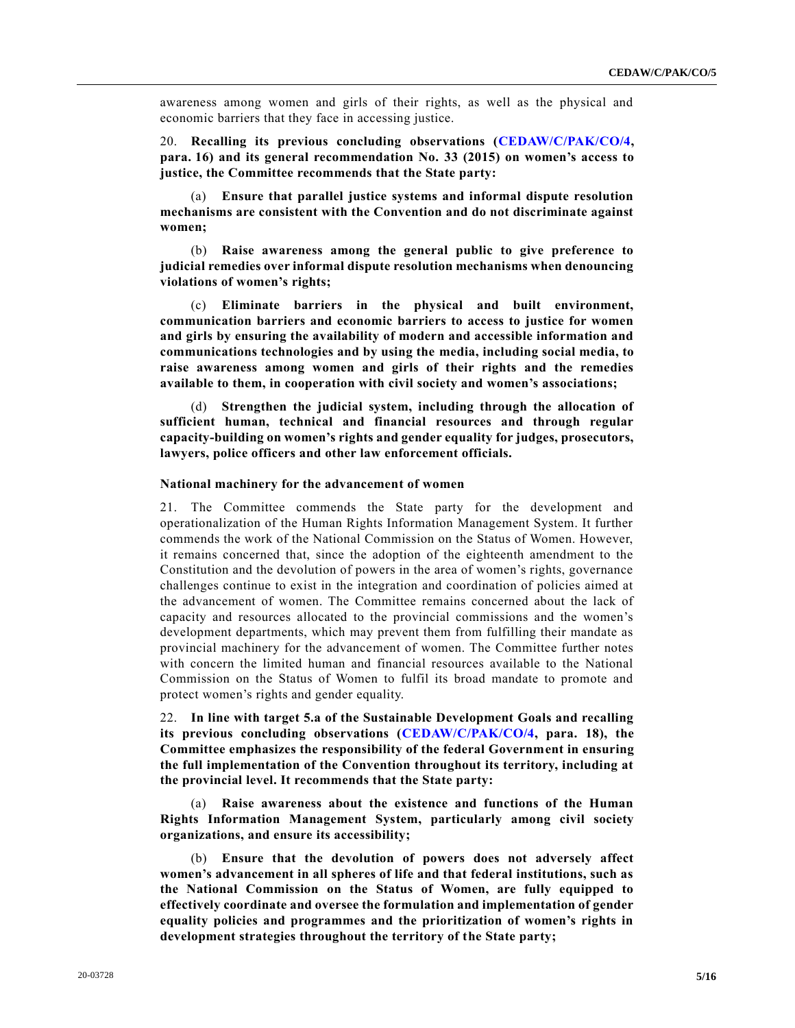awareness among women and girls of their rights, as well as the physical and economic barriers that they face in accessing justice.

20. **Recalling its previous concluding observations [\(CEDAW/C/PAK/CO/4,](https://undocs.org/en/CEDAW/C/PAK/CO/4) para. 16) and its general recommendation No. 33 (2015) on women's access to justice, the Committee recommends that the State party:**

(a) **Ensure that parallel justice systems and informal dispute resolution mechanisms are consistent with the Convention and do not discriminate against women;**

(b) **Raise awareness among the general public to give preference to judicial remedies over informal dispute resolution mechanisms when denouncing violations of women's rights;**

(c) **Eliminate barriers in the physical and built environment, communication barriers and economic barriers to access to justice for women and girls by ensuring the availability of modern and accessible information and communications technologies and by using the media, including social media, to raise awareness among women and girls of their rights and the remedies available to them, in cooperation with civil society and women's associations;**

(d) **Strengthen the judicial system, including through the allocation of sufficient human, technical and financial resources and through regular capacity-building on women's rights and gender equality for judges, prosecutors, lawyers, police officers and other law enforcement officials.**

### **National machinery for the advancement of women**

21. The Committee commends the State party for the development and operationalization of the Human Rights Information Management System. It further commends the work of the National Commission on the Status of Women. However, it remains concerned that, since the adoption of the eighteenth amendment to the Constitution and the devolution of powers in the area of women's rights, governance challenges continue to exist in the integration and coordination of policies aimed at the advancement of women. The Committee remains concerned about the lack of capacity and resources allocated to the provincial commissions and the women's development departments, which may prevent them from fulfilling their mandate as provincial machinery for the advancement of women. The Committee further notes with concern the limited human and financial resources available to the National Commission on the Status of Women to fulfil its broad mandate to promote and protect women's rights and gender equality.

22. **In line with target 5.a of the Sustainable Development Goals and recalling its previous concluding observations [\(CEDAW/C/PAK/CO/4,](https://undocs.org/en/CEDAW/C/PAK/CO/4) para. 18), the Committee emphasizes the responsibility of the federal Government in ensuring the full implementation of the Convention throughout its territory, including at the provincial level. It recommends that the State party:**

(a) **Raise awareness about the existence and functions of the Human Rights Information Management System, particularly among civil society organizations, and ensure its accessibility;**

(b) **Ensure that the devolution of powers does not adversely affect women's advancement in all spheres of life and that federal institutions, such as the National Commission on the Status of Women, are fully equipped to effectively coordinate and oversee the formulation and implementation of gender equality policies and programmes and the prioritization of women's rights in development strategies throughout the territory of the State party;**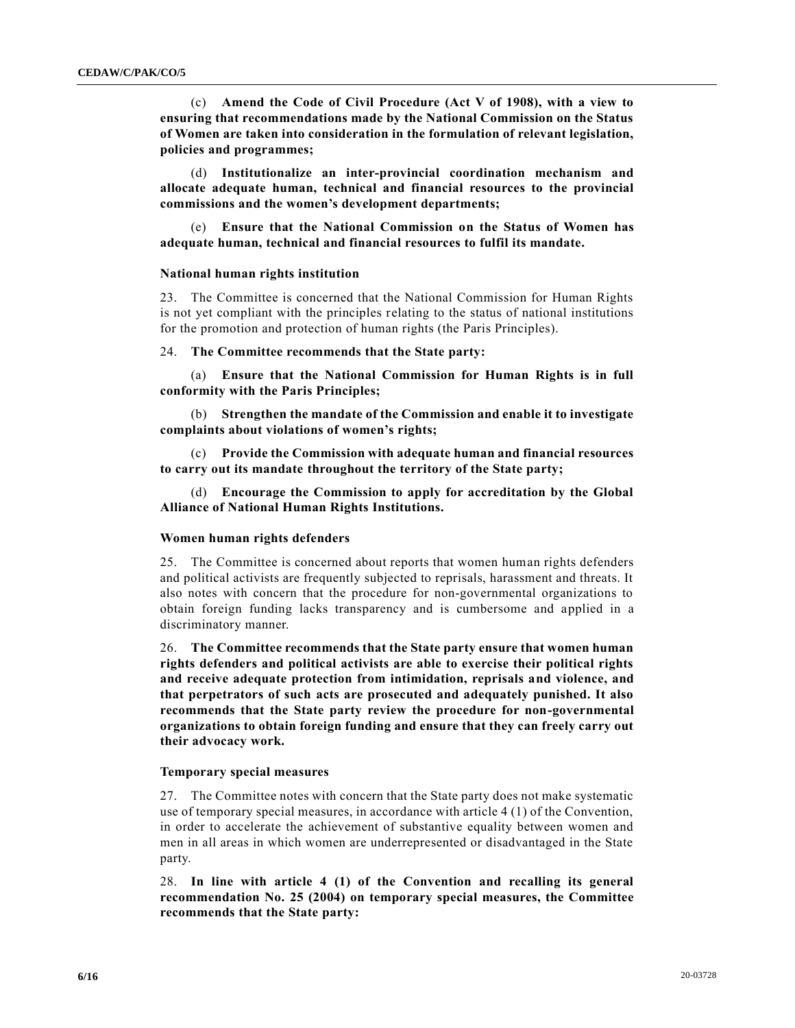(c) **Amend the Code of Civil Procedure (Act V of 1908), with a view to ensuring that recommendations made by the National Commission on the Status of Women are taken into consideration in the formulation of relevant legislation, policies and programmes;**

(d) **Institutionalize an inter-provincial coordination mechanism and allocate adequate human, technical and financial resources to the provincial commissions and the women's development departments;**

(e) **Ensure that the National Commission on the Status of Women has adequate human, technical and financial resources to fulfil its mandate.**

#### **National human rights institution**

23. The Committee is concerned that the National Commission for Human Rights is not yet compliant with the principles relating to the status of national institutions for the promotion and protection of human rights (the Paris Principles).

24. **The Committee recommends that the State party:**

(a) **Ensure that the National Commission for Human Rights is in full conformity with the Paris Principles;**

(b) **Strengthen the mandate of the Commission and enable it to investigate complaints about violations of women's rights;** 

(c) **Provide the Commission with adequate human and financial resources to carry out its mandate throughout the territory of the State party;**

(d) **Encourage the Commission to apply for accreditation by the Global Alliance of National Human Rights Institutions.**

#### **Women human rights defenders**

25. The Committee is concerned about reports that women human rights defenders and political activists are frequently subjected to reprisals, harassment and threats. It also notes with concern that the procedure for non‑governmental organizations to obtain foreign funding lacks transparency and is cumbersome and applied in a discriminatory manner.

26. **The Committee recommends that the State party ensure that women human rights defenders and political activists are able to exercise their political rights and receive adequate protection from intimidation, reprisals and violence, and that perpetrators of such acts are prosecuted and adequately punished. It also recommends that the State party review the procedure for non-governmental organizations to obtain foreign funding and ensure that they can freely carry out their advocacy work.**

#### **Temporary special measures**

27. The Committee notes with concern that the State party does not make systematic use of temporary special measures, in accordance with article 4 (1) of the Convention, in order to accelerate the achievement of substantive equality between women and men in all areas in which women are underrepresented or disadvantaged in the State party.

28. **In line with article 4 (1) of the Convention and recalling its general recommendation No. 25 (2004) on temporary special measures, the Committee recommends that the State party:**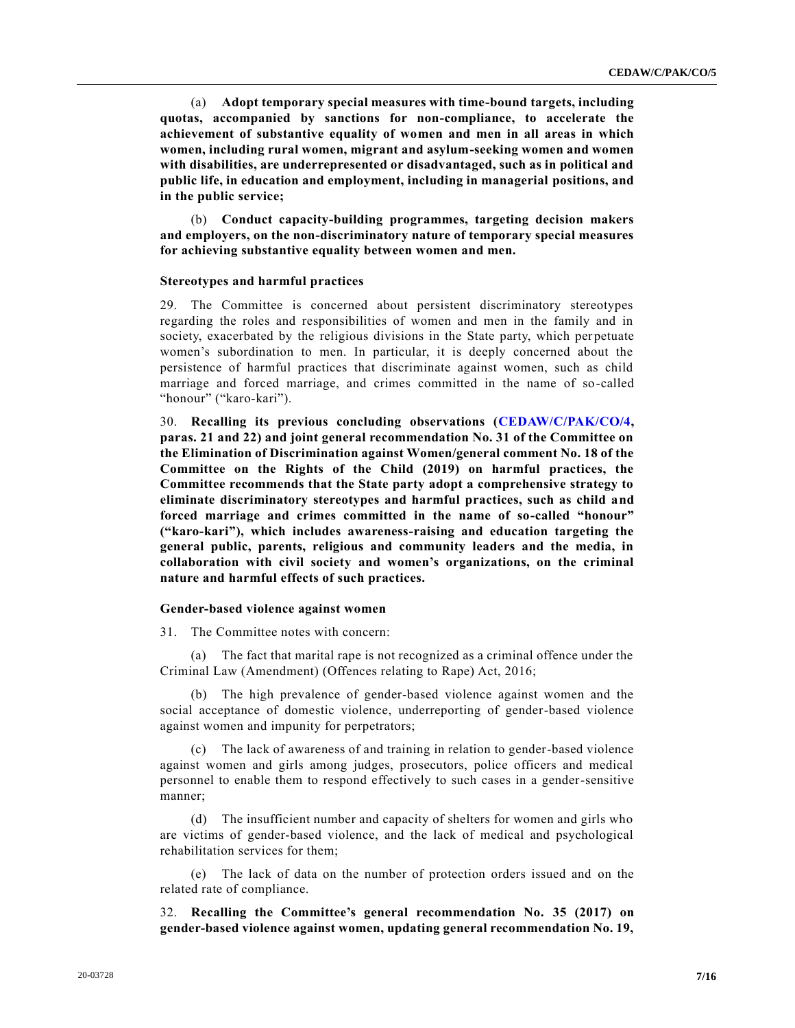(a) **Adopt temporary special measures with time-bound targets, including quotas, accompanied by sanctions for non-compliance, to accelerate the achievement of substantive equality of women and men in all areas in which women, including rural women, migrant and asylum-seeking women and women with disabilities, are underrepresented or disadvantaged, such as in political and public life, in education and employment, including in managerial positions, and in the public service;**

(b) **Conduct capacity-building programmes, targeting decision makers and employers, on the non-discriminatory nature of temporary special measures for achieving substantive equality between women and men.**

#### **Stereotypes and harmful practices**

29. The Committee is concerned about persistent discriminatory stereotypes regarding the roles and responsibilities of women and men in the family and in society, exacerbated by the religious divisions in the State party, which perpetuate women's subordination to men. In particular, it is deeply concerned about the persistence of harmful practices that discriminate against women, such as child marriage and forced marriage, and crimes committed in the name of so-called "honour" ("karo-kari").

30. **Recalling its previous concluding observations [\(CEDAW/C/PAK/CO/4,](https://undocs.org/en/CEDAW/C/PAK/CO/4) paras. 21 and 22) and joint general recommendation No. 31 of the Committee on the Elimination of Discrimination against Women/general comment No. 18 of the Committee on the Rights of the Child (2019) on harmful practices, the Committee recommends that the State party adopt a comprehensive strategy to eliminate discriminatory stereotypes and harmful practices, such as child and forced marriage and crimes committed in the name of so-called "honour" ("karo-kari"), which includes awareness-raising and education targeting the general public, parents, religious and community leaders and the media, in collaboration with civil society and women's organizations, on the criminal nature and harmful effects of such practices.**

#### **Gender-based violence against women**

31. The Committee notes with concern:

(a) The fact that marital rape is not recognized as a criminal offence under the Criminal Law (Amendment) (Offences relating to Rape) Act, 2016;

The high prevalence of gender-based violence against women and the social acceptance of domestic violence, underreporting of gender-based violence against women and impunity for perpetrators;

(c) The lack of awareness of and training in relation to gender-based violence against women and girls among judges, prosecutors, police officers and medical personnel to enable them to respond effectively to such cases in a gender-sensitive manner;

(d) The insufficient number and capacity of shelters for women and girls who are victims of gender-based violence, and the lack of medical and psychological rehabilitation services for them;

(e) The lack of data on the number of protection orders issued and on the related rate of compliance.

32. **Recalling the Committee's general recommendation No. 35 (2017) on gender-based violence against women, updating general recommendation No. 19,**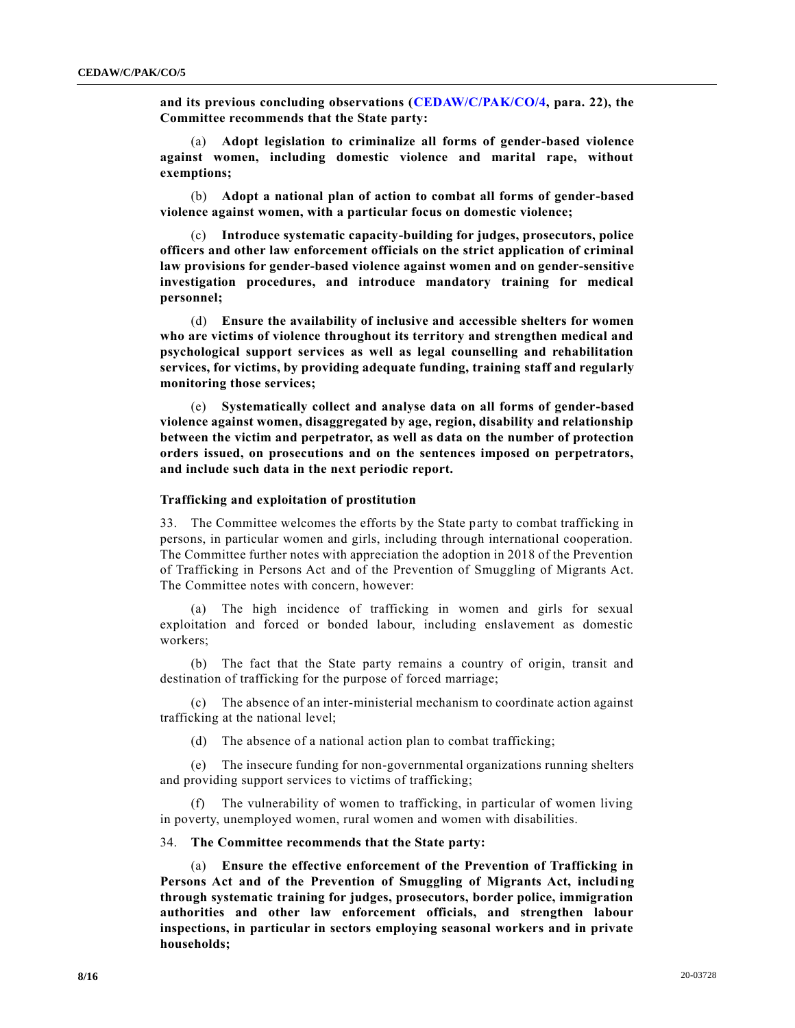**and its previous concluding observations [\(CEDAW/C/PAK/CO/4,](https://undocs.org/en/CEDAW/C/PAK/CO/4) para. 22), the Committee recommends that the State party:**

(a) **Adopt legislation to criminalize all forms of gender-based violence against women, including domestic violence and marital rape, without exemptions;**

(b) **Adopt a national plan of action to combat all forms of gender-based violence against women, with a particular focus on domestic violence;**

(c) **Introduce systematic capacity-building for judges, prosecutors, police officers and other law enforcement officials on the strict application of criminal law provisions for gender-based violence against women and on gender-sensitive investigation procedures, and introduce mandatory training for medical personnel;**

(d) **Ensure the availability of inclusive and accessible shelters for women who are victims of violence throughout its territory and strengthen medical and psychological support services as well as legal counselling and rehabilitation services, for victims, by providing adequate funding, training staff and regularly monitoring those services;**

(e) **Systematically collect and analyse data on all forms of gender-based violence against women, disaggregated by age, region, disability and relationship between the victim and perpetrator, as well as data on the number of protection orders issued, on prosecutions and on the sentences imposed on perpetrators, and include such data in the next periodic report.**

#### **Trafficking and exploitation of prostitution**

33. The Committee welcomes the efforts by the State party to combat trafficking in persons, in particular women and girls, including through international cooperation. The Committee further notes with appreciation the adoption in 2018 of the Prevention of Trafficking in Persons Act and of the Prevention of Smuggling of Migrants Act. The Committee notes with concern, however:

(a) The high incidence of trafficking in women and girls for sexual exploitation and forced or bonded labour, including enslavement as domestic workers;

(b) The fact that the State party remains a country of origin, transit and destination of trafficking for the purpose of forced marriage;

(c) The absence of an inter-ministerial mechanism to coordinate action against trafficking at the national level;

(d) The absence of a national action plan to combat trafficking;

(e) The insecure funding for non-governmental organizations running shelters and providing support services to victims of trafficking;

(f) The vulnerability of women to trafficking, in particular of women living in poverty, unemployed women, rural women and women with disabilities.

### 34. **The Committee recommends that the State party:**

(a) **Ensure the effective enforcement of the Prevention of Trafficking in Persons Act and of the Prevention of Smuggling of Migrants Act, including through systematic training for judges, prosecutors, border police, immigration authorities and other law enforcement officials, and strengthen labour inspections, in particular in sectors employing seasonal workers and in private households;**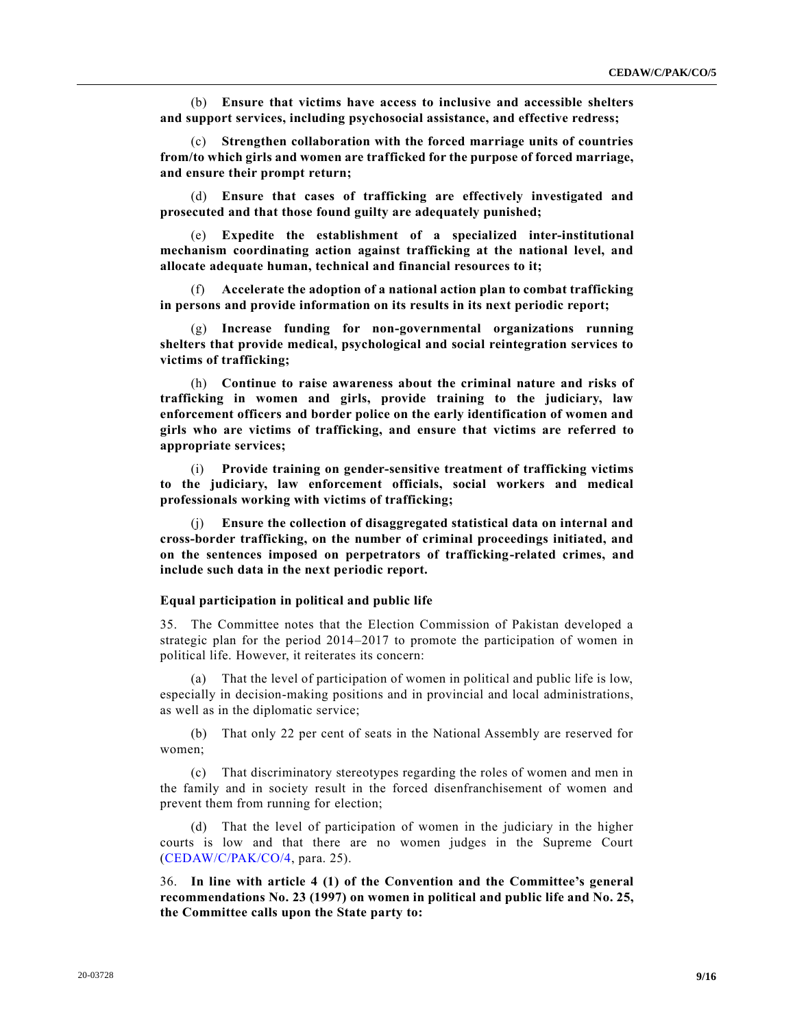(b) **Ensure that victims have access to inclusive and accessible shelters and support services, including psychosocial assistance, and effective redress;**

(c) **Strengthen collaboration with the forced marriage units of countries from/to which girls and women are trafficked for the purpose of forced marriage, and ensure their prompt return;**

(d) **Ensure that cases of trafficking are effectively investigated and prosecuted and that those found guilty are adequately punished;**

(e) **Expedite the establishment of a specialized inter-institutional mechanism coordinating action against trafficking at the national level, and allocate adequate human, technical and financial resources to it;**

(f) **Accelerate the adoption of a national action plan to combat trafficking in persons and provide information on its results in its next periodic report;**

(g) **Increase funding for non-governmental organizations running shelters that provide medical, psychological and social reintegration services to victims of trafficking;**

(h) **Continue to raise awareness about the criminal nature and risks of trafficking in women and girls, provide training to the judiciary, law enforcement officers and border police on the early identification of women and girls who are victims of trafficking, and ensure that victims are referred to appropriate services;**

(i) **Provide training on gender-sensitive treatment of trafficking victims to the judiciary, law enforcement officials, social workers and medical professionals working with victims of trafficking;**

**Ensure the collection of disaggregated statistical data on internal and cross-border trafficking, on the number of criminal proceedings initiated, and on the sentences imposed on perpetrators of trafficking-related crimes, and include such data in the next periodic report.**

#### **Equal participation in political and public life**

35. The Committee notes that the Election Commission of Pakistan developed a strategic plan for the period 2014–2017 to promote the participation of women in political life. However, it reiterates its concern:

(a) That the level of participation of women in political and public life is low, especially in decision-making positions and in provincial and local administrations, as well as in the diplomatic service;

(b) That only 22 per cent of seats in the National Assembly are reserved for women;

(c) That discriminatory stereotypes regarding the roles of women and men in the family and in society result in the forced disenfranchisement of women and prevent them from running for election;

(d) That the level of participation of women in the judiciary in the higher courts is low and that there are no women judges in the Supreme Court [\(CEDAW/C/PAK/CO/4,](https://undocs.org/en/CEDAW/C/PAK/CO/4) para. 25).

36. **In line with article 4 (1) of the Convention and the Committee's general recommendations No. 23 (1997) on women in political and public life and No. 25, the Committee calls upon the State party to:**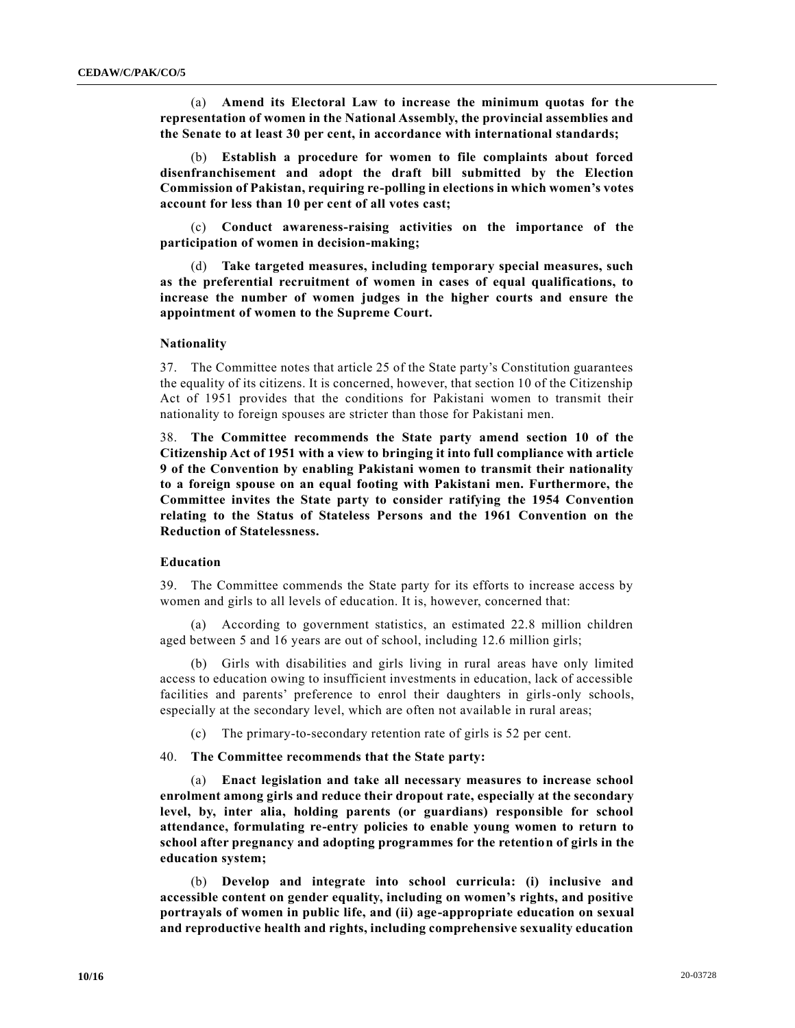(a) **Amend its Electoral Law to increase the minimum quotas for the representation of women in the National Assembly, the provincial assemblies and the Senate to at least 30 per cent, in accordance with international standards;**

(b) **Establish a procedure for women to file complaints about forced disenfranchisement and adopt the draft bill submitted by the Election Commission of Pakistan, requiring re-polling in elections in which women's votes account for less than 10 per cent of all votes cast;**

(c) **Conduct awareness-raising activities on the importance of the participation of women in decision-making;**

(d) **Take targeted measures, including temporary special measures, such as the preferential recruitment of women in cases of equal qualifications, to increase the number of women judges in the higher courts and ensure the appointment of women to the Supreme Court.**

#### **Nationality**

37. The Committee notes that article 25 of the State party's Constitution guarantees the equality of its citizens. It is concerned, however, that section 10 of the Citizenship Act of 1951 provides that the conditions for Pakistani women to transmit their nationality to foreign spouses are stricter than those for Pakistani men.

38. **The Committee recommends the State party amend section 10 of the Citizenship Act of 1951 with a view to bringing it into full compliance with article 9 of the Convention by enabling Pakistani women to transmit their nationality to a foreign spouse on an equal footing with Pakistani men. Furthermore, the Committee invites the State party to consider ratifying the 1954 Convention relating to the Status of Stateless Persons and the 1961 Convention on the Reduction of Statelessness.**

#### **Education**

39. The Committee commends the State party for its efforts to increase access by women and girls to all levels of education. It is, however, concerned that:

(a) According to government statistics, an estimated 22.8 million children aged between 5 and 16 years are out of school, including 12.6 million girls;

(b) Girls with disabilities and girls living in rural areas have only limited access to education owing to insufficient investments in education, lack of accessible facilities and parents' preference to enrol their daughters in girls-only schools, especially at the secondary level, which are often not available in rural areas;

(c) The primary-to-secondary retention rate of girls is 52 per cent.

#### 40. **The Committee recommends that the State party:**

(a) **Enact legislation and take all necessary measures to increase school enrolment among girls and reduce their dropout rate, especially at the secondary level, by, inter alia, holding parents (or guardians) responsible for school attendance, formulating re-entry policies to enable young women to return to school after pregnancy and adopting programmes for the retention of girls in the education system;**

(b) **Develop and integrate into school curricula: (i) inclusive and accessible content on gender equality, including on women's rights, and positive portrayals of women in public life, and (ii) age-appropriate education on sexual and reproductive health and rights, including comprehensive sexuality education**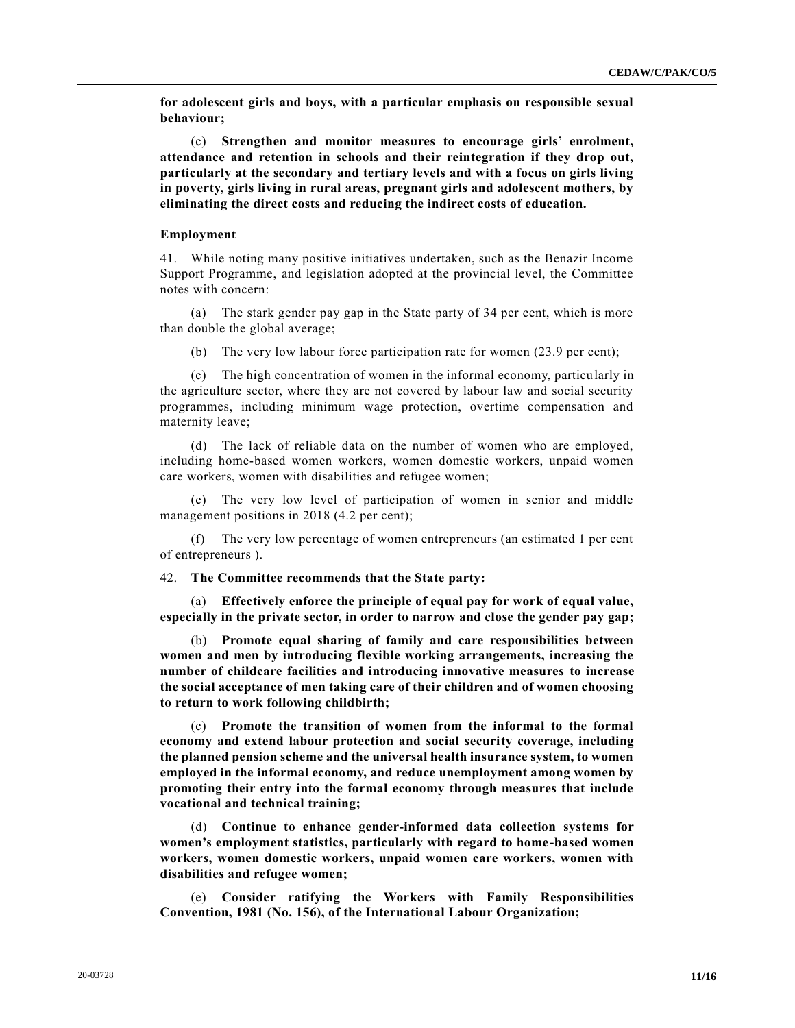**for adolescent girls and boys, with a particular emphasis on responsible sexual behaviour;**

(c) **Strengthen and monitor measures to encourage girls' enrolment, attendance and retention in schools and their reintegration if they drop out, particularly at the secondary and tertiary levels and with a focus on girls living in poverty, girls living in rural areas, pregnant girls and adolescent mothers, by eliminating the direct costs and reducing the indirect costs of education.**

## **Employment**

41. While noting many positive initiatives undertaken, such as the Benazir Income Support Programme, and legislation adopted at the provincial level, the Committee notes with concern:

(a) The stark gender pay gap in the State party of 34 per cent, which is more than double the global average;

(b) The very low labour force participation rate for women (23.9 per cent);

(c) The high concentration of women in the informal economy, particularly in the agriculture sector, where they are not covered by labour law and social security programmes, including minimum wage protection, overtime compensation and maternity leave;

(d) The lack of reliable data on the number of women who are employed, including home-based women workers, women domestic workers, unpaid women care workers, women with disabilities and refugee women;

(e) The very low level of participation of women in senior and middle management positions in 2018 (4.2 per cent);

(f) The very low percentage of women entrepreneurs (an estimated 1 per cent of entrepreneurs ).

42. **The Committee recommends that the State party:**

(a) **Effectively enforce the principle of equal pay for work of equal value, especially in the private sector, in order to narrow and close the gender pay gap;**

(b) **Promote equal sharing of family and care responsibilities between women and men by introducing flexible working arrangements, increasing the number of childcare facilities and introducing innovative measures to increase the social acceptance of men taking care of their children and of women choosing to return to work following childbirth;**

(c) **Promote the transition of women from the informal to the formal economy and extend labour protection and social security coverage, including the planned pension scheme and the universal health insurance system, to women employed in the informal economy, and reduce unemployment among women by promoting their entry into the formal economy through measures that include vocational and technical training;**

(d) **Continue to enhance gender-informed data collection systems for women's employment statistics, particularly with regard to home-based women workers, women domestic workers, unpaid women care workers, women with disabilities and refugee women;**

(e) **Consider ratifying the Workers with Family Responsibilities Convention, 1981 (No. 156), of the International Labour Organization;**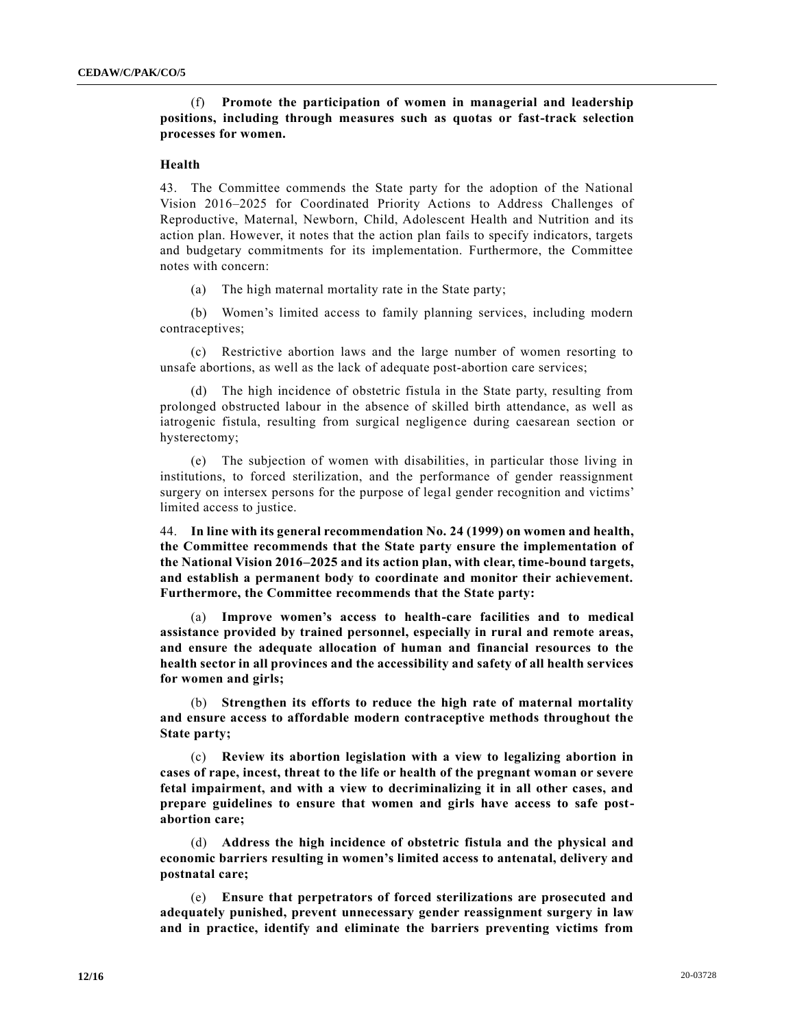## (f) **Promote the participation of women in managerial and leadership positions, including through measures such as quotas or fast-track selection processes for women.**

#### **Health**

43. The Committee commends the State party for the adoption of the National Vision 2016–2025 for Coordinated Priority Actions to Address Challenges of Reproductive, Maternal, Newborn, Child, Adolescent Health and Nutrition and its action plan. However, it notes that the action plan fails to specify indicators, targets and budgetary commitments for its implementation. Furthermore, the Committee notes with concern:

(a) The high maternal mortality rate in the State party;

(b) Women's limited access to family planning services, including modern contraceptives;

(c) Restrictive abortion laws and the large number of women resorting to unsafe abortions, as well as the lack of adequate post-abortion care services;

(d) The high incidence of obstetric fistula in the State party, resulting from prolonged obstructed labour in the absence of skilled birth attendance, as well as iatrogenic fistula, resulting from surgical negligence during caesarean section or hysterectomy;

(e) The subjection of women with disabilities, in particular those living in institutions, to forced sterilization, and the performance of gender reassignment surgery on intersex persons for the purpose of legal gender recognition and victims' limited access to justice.

44. **In line with its general recommendation No. 24 (1999) on women and health, the Committee recommends that the State party ensure the implementation of the National Vision 2016–2025 and its action plan, with clear, time-bound targets, and establish a permanent body to coordinate and monitor their achievement. Furthermore, the Committee recommends that the State party:**

(a) **Improve women's access to health-care facilities and to medical assistance provided by trained personnel, especially in rural and remote areas, and ensure the adequate allocation of human and financial resources to the health sector in all provinces and the accessibility and safety of all health services for women and girls;**

(b) **Strengthen its efforts to reduce the high rate of maternal mortality and ensure access to affordable modern contraceptive methods throughout the State party;** 

(c) **Review its abortion legislation with a view to legalizing abortion in cases of rape, incest, threat to the life or health of the pregnant woman or severe fetal impairment, and with a view to decriminalizing it in all other cases, and prepare guidelines to ensure that women and girls have access to safe postabortion care;**

(d) **Address the high incidence of obstetric fistula and the physical and economic barriers resulting in women's limited access to antenatal, delivery and postnatal care;**

(e) **Ensure that perpetrators of forced sterilizations are prosecuted and adequately punished, prevent unnecessary gender reassignment surgery in law and in practice, identify and eliminate the barriers preventing victims from**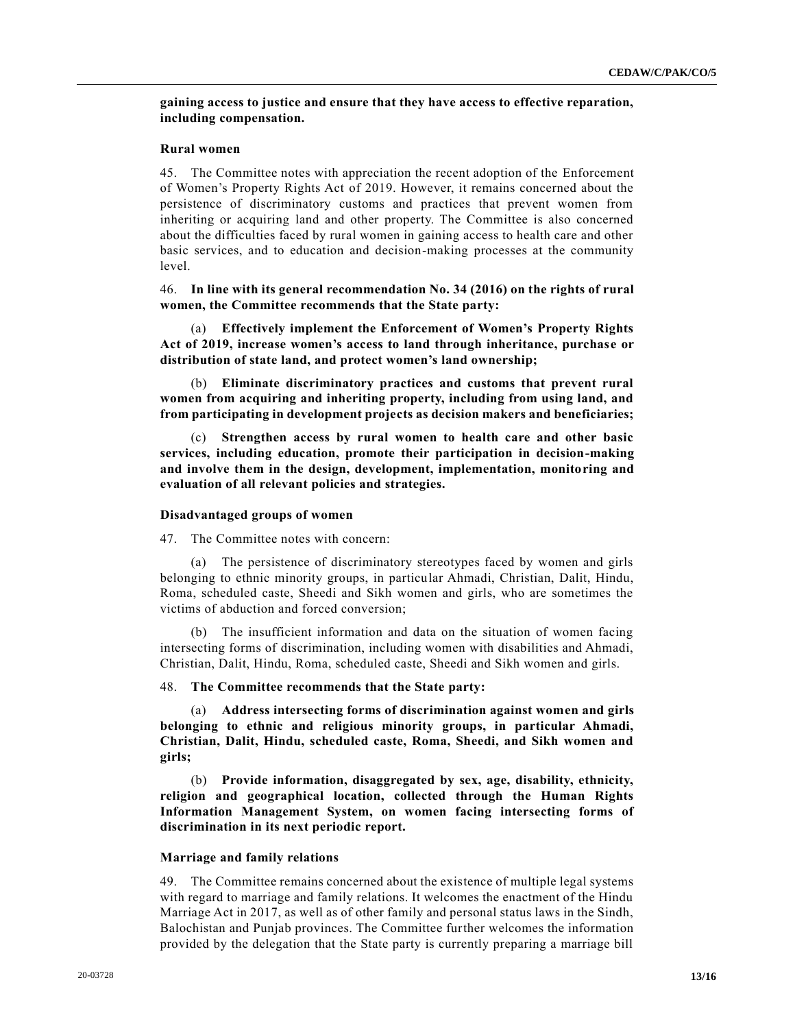**gaining access to justice and ensure that they have access to effective reparation, including compensation.**

## **Rural women**

45. The Committee notes with appreciation the recent adoption of the Enforcement of Women's Property Rights Act of 2019. However, it remains concerned about the persistence of discriminatory customs and practices that prevent women from inheriting or acquiring land and other property. The Committee is also concerned about the difficulties faced by rural women in gaining access to health care and other basic services, and to education and decision-making processes at the community level.

46. **In line with its general recommendation No. 34 (2016) on the rights of rural women, the Committee recommends that the State party:**

(a) **Effectively implement the Enforcement of Women's Property Rights Act of 2019, increase women's access to land through inheritance, purchase or distribution of state land, and protect women's land ownership;**

(b) **Eliminate discriminatory practices and customs that prevent rural women from acquiring and inheriting property, including from using land, and from participating in development projects as decision makers and beneficiaries;**

(c) **Strengthen access by rural women to health care and other basic services, including education, promote their participation in decision-making and involve them in the design, development, implementation, monitoring and evaluation of all relevant policies and strategies.**

### **Disadvantaged groups of women**

47. The Committee notes with concern:

(a) The persistence of discriminatory stereotypes faced by women and girls belonging to ethnic minority groups, in particular Ahmadi, Christian, Dalit, Hindu, Roma, scheduled caste, Sheedi and Sikh women and girls, who are sometimes the victims of abduction and forced conversion;

(b) The insufficient information and data on the situation of women facing intersecting forms of discrimination, including women with disabilities and Ahmadi, Christian, Dalit, Hindu, Roma, scheduled caste, Sheedi and Sikh women and girls.

48. **The Committee recommends that the State party:**

(a) **Address intersecting forms of discrimination against women and girls belonging to ethnic and religious minority groups, in particular Ahmadi, Christian, Dalit, Hindu, scheduled caste, Roma, Sheedi, and Sikh women and girls;**

(b) **Provide information, disaggregated by sex, age, disability, ethnicity, religion and geographical location, collected through the Human Rights Information Management System, on women facing intersecting forms of discrimination in its next periodic report.**

#### **Marriage and family relations**

49. The Committee remains concerned about the existence of multiple legal systems with regard to marriage and family relations. It welcomes the enactment of the Hindu Marriage Act in 2017, as well as of other family and personal status laws in the Sindh, Balochistan and Punjab provinces. The Committee further welcomes the information provided by the delegation that the State party is currently preparing a marriage bill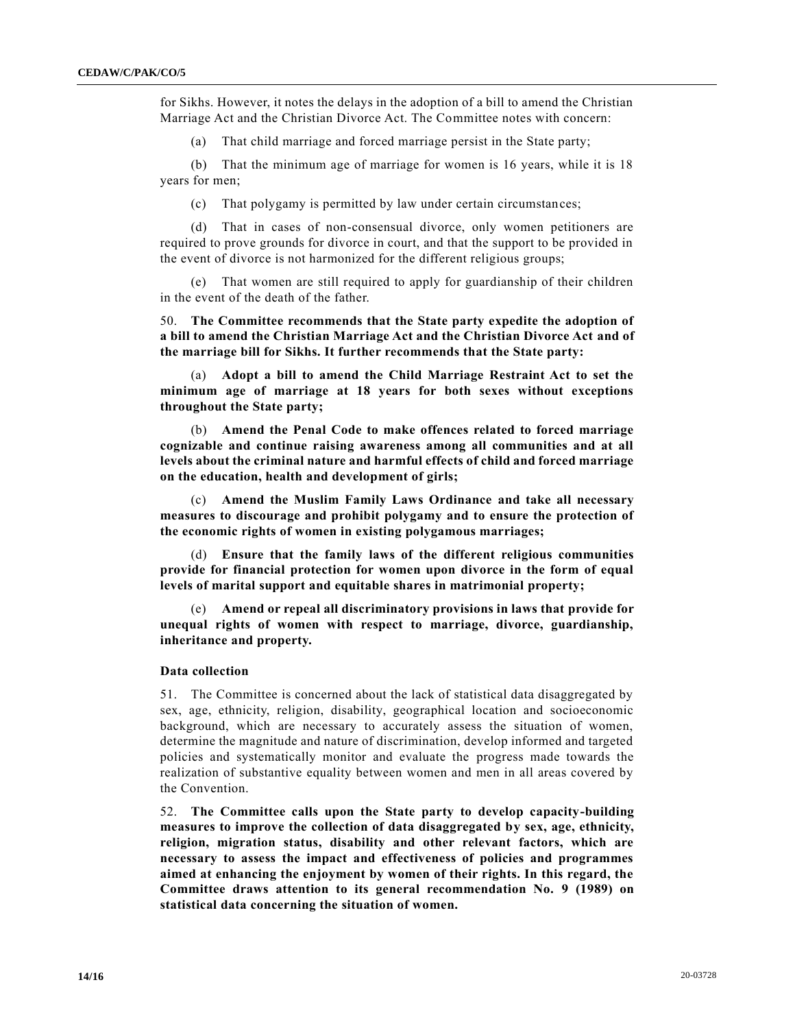for Sikhs. However, it notes the delays in the adoption of a bill to amend the Christian Marriage Act and the Christian Divorce Act. The Committee notes with concern:

(a) That child marriage and forced marriage persist in the State party;

(b) That the minimum age of marriage for women is 16 years, while it is 18 years for men;

(c) That polygamy is permitted by law under certain circumstances;

(d) That in cases of non-consensual divorce, only women petitioners are required to prove grounds for divorce in court, and that the support to be provided in the event of divorce is not harmonized for the different religious groups;

(e) That women are still required to apply for guardianship of their children in the event of the death of the father.

50. **The Committee recommends that the State party expedite the adoption of a bill to amend the Christian Marriage Act and the Christian Divorce Act and of the marriage bill for Sikhs. It further recommends that the State party:**

(a) **Adopt a bill to amend the Child Marriage Restraint Act to set the minimum age of marriage at 18 years for both sexes without exceptions throughout the State party;**

(b) **Amend the Penal Code to make offences related to forced marriage cognizable and continue raising awareness among all communities and at all levels about the criminal nature and harmful effects of child and forced marriage on the education, health and development of girls;**

(c) **Amend the Muslim Family Laws Ordinance and take all necessary measures to discourage and prohibit polygamy and to ensure the protection of the economic rights of women in existing polygamous marriages;**

(d) **Ensure that the family laws of the different religious communities provide for financial protection for women upon divorce in the form of equal levels of marital support and equitable shares in matrimonial property;**

(e) **Amend or repeal all discriminatory provisions in laws that provide for unequal rights of women with respect to marriage, divorce, guardianship, inheritance and property.**

### **Data collection**

51. The Committee is concerned about the lack of statistical data disaggregated by sex, age, ethnicity, religion, disability, geographical location and socioeconomic background, which are necessary to accurately assess the situation of women, determine the magnitude and nature of discrimination, develop informed and targeted policies and systematically monitor and evaluate the progress made towards the realization of substantive equality between women and men in all areas covered by the Convention.

52. **The Committee calls upon the State party to develop capacity-building measures to improve the collection of data disaggregated by sex, age, ethnicity, religion, migration status, disability and other relevant factors, which are necessary to assess the impact and effectiveness of policies and programmes aimed at enhancing the enjoyment by women of their rights. In this regard, the Committee draws attention to its general recommendation No. 9 (1989) on statistical data concerning the situation of women.**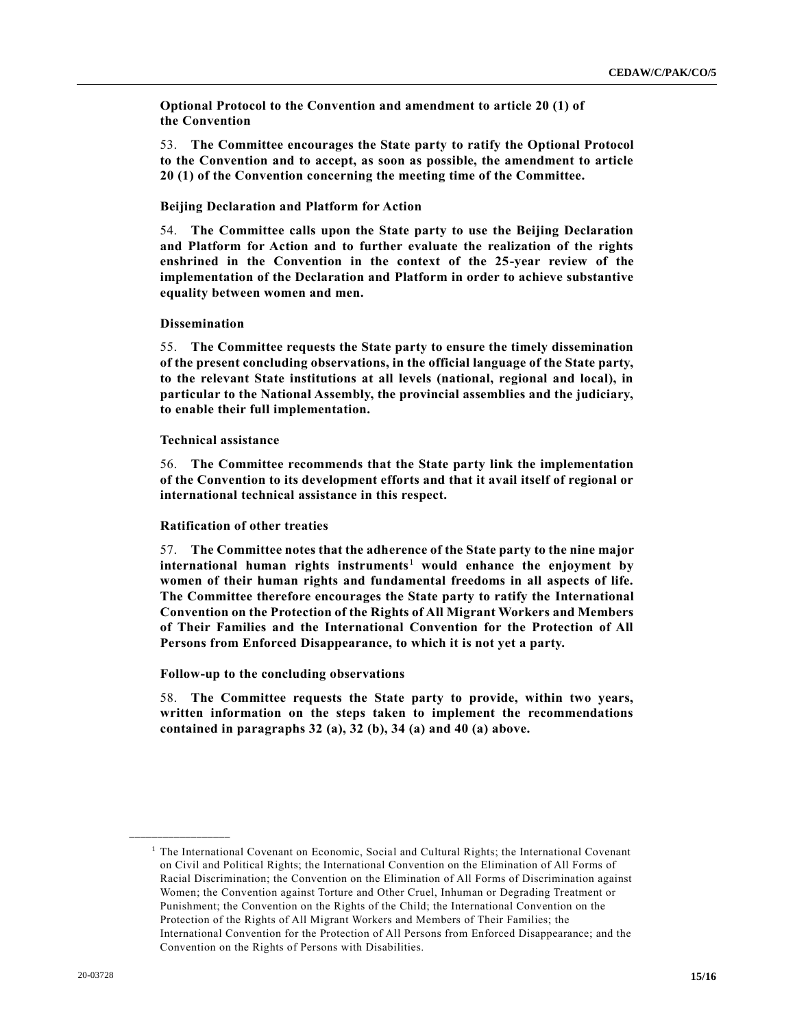**Optional Protocol to the Convention and amendment to article 20 (1) of the Convention**

53. **The Committee encourages the State party to ratify the Optional Protocol to the Convention and to accept, as soon as possible, the amendment to article 20 (1) of the Convention concerning the meeting time of the Committee.**

### **Beijing Declaration and Platform for Action**

54. **The Committee calls upon the State party to use the Beijing Declaration and Platform for Action and to further evaluate the realization of the rights enshrined in the Convention in the context of the 25-year review of the implementation of the Declaration and Platform in order to achieve substantive equality between women and men.**

#### **Dissemination**

55. **The Committee requests the State party to ensure the timely dissemination of the present concluding observations, in the official language of the State party, to the relevant State institutions at all levels (national, regional and local), in particular to the National Assembly, the provincial assemblies and the judiciary, to enable their full implementation.**

#### **Technical assistance**

56. **The Committee recommends that the State party link the implementation of the Convention to its development efforts and that it avail itself of regional or international technical assistance in this respect.**

#### **Ratification of other treaties**

57. **The Committee notes that the adherence of the State party to the nine major international human rights instruments**<sup>1</sup> **would enhance the enjoyment by women of their human rights and fundamental freedoms in all aspects of life. The Committee therefore encourages the State party to ratify the International Convention on the Protection of the Rights of All Migrant Workers and Members of Their Families and the International Convention for the Protection of All Persons from Enforced Disappearance, to which it is not yet a party.**

#### **Follow-up to the concluding observations**

58. **The Committee requests the State party to provide, within two years, written information on the steps taken to implement the recommendations contained in paragraphs 32 (a), 32 (b), 34 (a) and 40 (a) above.**

**\_\_\_\_\_\_\_\_\_\_\_\_\_\_\_\_\_\_**

<sup>1</sup> The International Covenant on Economic, Social and Cultural Rights; the International Covenant on Civil and Political Rights; the International Convention on the Elimination of All Forms of Racial Discrimination; the Convention on the Elimination of All Forms of Discrimination against Women; the Convention against Torture and Other Cruel, Inhuman or Degrading Treatment or Punishment; the Convention on the Rights of the Child; the International Convention on the Protection of the Rights of All Migrant Workers and Members of Their Families; the International Convention for the Protection of All Persons from Enforced Disappearance; and the Convention on the Rights of Persons with Disabilities.